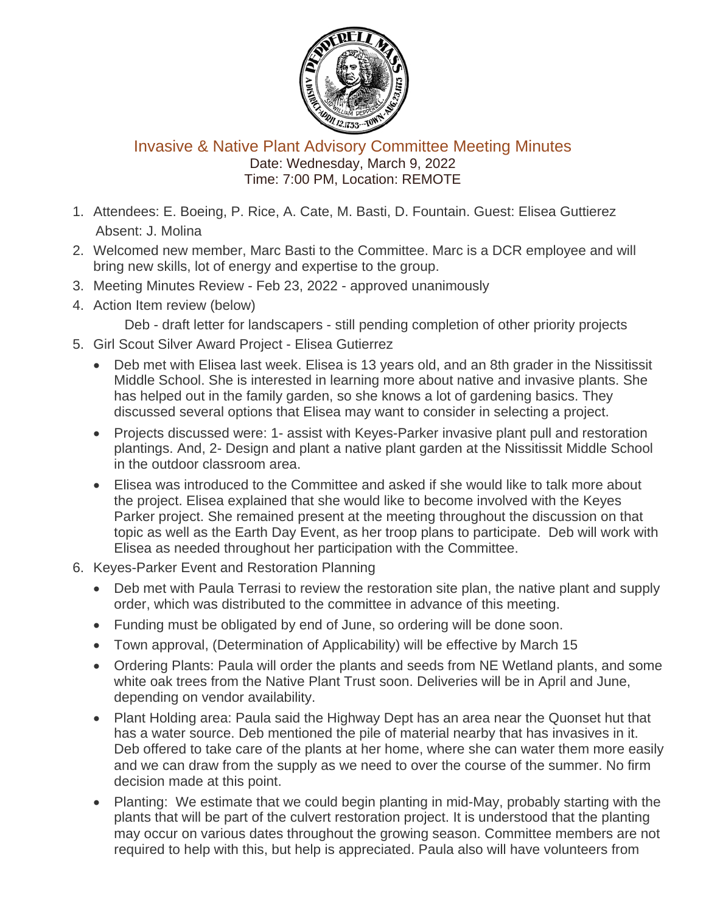

Invasive & Native Plant Advisory Committee Meeting Minutes Date: Wednesday, March 9, 2022 Time: 7:00 PM, Location: REMOTE

- 1. Attendees: E. Boeing, P. Rice, A. Cate, M. Basti, D. Fountain. Guest: Elisea Guttierez Absent: J. Molina
- 2. Welcomed new member, Marc Basti to the Committee. Marc is a DCR employee and will bring new skills, lot of energy and expertise to the group.
- 3. Meeting Minutes Review Feb 23, 2022 approved unanimously
- 4. Action Item review (below)

Deb - draft letter for landscapers - still pending completion of other priority projects

- 5. Girl Scout Silver Award Project Elisea Gutierrez
	- Deb met with Elisea last week. Elisea is 13 years old, and an 8th grader in the Nissitissit Middle School. She is interested in learning more about native and invasive plants. She has helped out in the family garden, so she knows a lot of gardening basics. They discussed several options that Elisea may want to consider in selecting a project.
	- Projects discussed were: 1- assist with Keyes-Parker invasive plant pull and restoration plantings. And, 2- Design and plant a native plant garden at the Nissitissit Middle School in the outdoor classroom area.
	- Elisea was introduced to the Committee and asked if she would like to talk more about the project. Elisea explained that she would like to become involved with the Keyes Parker project. She remained present at the meeting throughout the discussion on that topic as well as the Earth Day Event, as her troop plans to participate. Deb will work with Elisea as needed throughout her participation with the Committee.
- 6. Keyes-Parker Event and Restoration Planning
	- Deb met with Paula Terrasi to review the restoration site plan, the native plant and supply order, which was distributed to the committee in advance of this meeting.
	- Funding must be obligated by end of June, so ordering will be done soon.
	- Town approval, (Determination of Applicability) will be effective by March 15
	- Ordering Plants: Paula will order the plants and seeds from NE Wetland plants, and some white oak trees from the Native Plant Trust soon. Deliveries will be in April and June, depending on vendor availability.
	- Plant Holding area: Paula said the Highway Dept has an area near the Quonset hut that has a water source. Deb mentioned the pile of material nearby that has invasives in it. Deb offered to take care of the plants at her home, where she can water them more easily and we can draw from the supply as we need to over the course of the summer. No firm decision made at this point.
	- Planting: We estimate that we could begin planting in mid-May, probably starting with the plants that will be part of the culvert restoration project. It is understood that the planting may occur on various dates throughout the growing season. Committee members are not required to help with this, but help is appreciated. Paula also will have volunteers from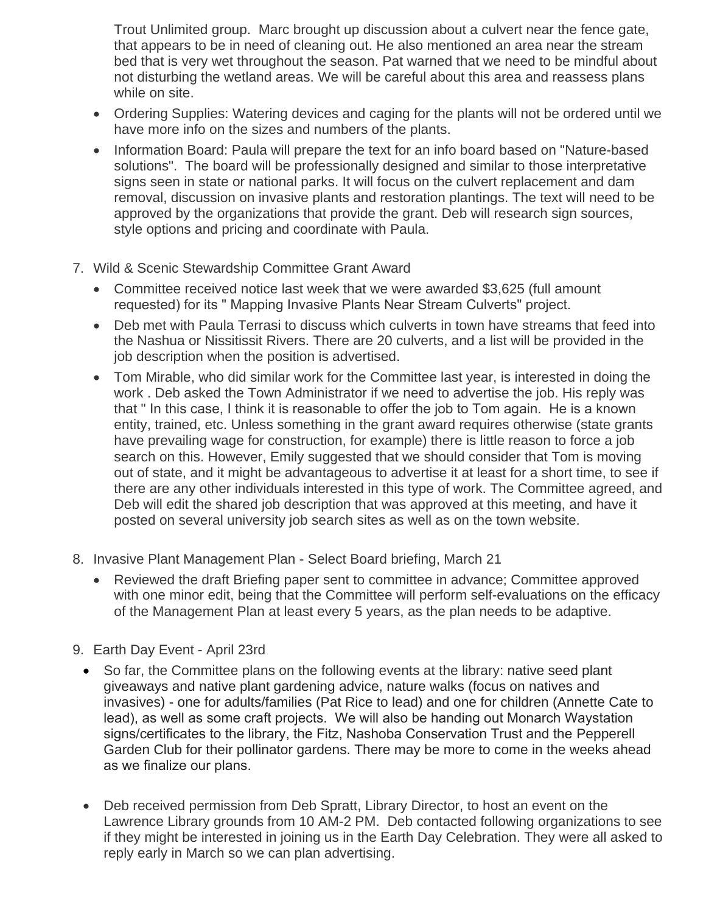Trout Unlimited group. Marc brought up discussion about a culvert near the fence gate, that appears to be in need of cleaning out. He also mentioned an area near the stream bed that is very wet throughout the season. Pat warned that we need to be mindful about not disturbing the wetland areas. We will be careful about this area and reassess plans while on site.

- Ordering Supplies: Watering devices and caging for the plants will not be ordered until we have more info on the sizes and numbers of the plants.
- Information Board: Paula will prepare the text for an info board based on "Nature-based" solutions". The board will be professionally designed and similar to those interpretative signs seen in state or national parks. It will focus on the culvert replacement and dam removal, discussion on invasive plants and restoration plantings. The text will need to be approved by the organizations that provide the grant. Deb will research sign sources, style options and pricing and coordinate with Paula.
- 7. Wild & Scenic Stewardship Committee Grant Award
	- Committee received notice last week that we were awarded \$3,625 (full amount requested) for its " Mapping Invasive Plants Near Stream Culverts" project.
	- Deb met with Paula Terrasi to discuss which culverts in town have streams that feed into the Nashua or Nissitissit Rivers. There are 20 culverts, and a list will be provided in the job description when the position is advertised.
	- Tom Mirable, who did similar work for the Committee last year, is interested in doing the work . Deb asked the Town Administrator if we need to advertise the job. His reply was that " In this case, I think it is reasonable to offer the job to Tom again. He is a known entity, trained, etc. Unless something in the grant award requires otherwise (state grants have prevailing wage for construction, for example) there is little reason to force a job search on this. However, Emily suggested that we should consider that Tom is moving out of state, and it might be advantageous to advertise it at least for a short time, to see if there are any other individuals interested in this type of work. The Committee agreed, and Deb will edit the shared job description that was approved at this meeting, and have it posted on several university job search sites as well as on the town website.
- 8. Invasive Plant Management Plan Select Board briefing, March 21
	- Reviewed the draft Briefing paper sent to committee in advance; Committee approved with one minor edit, being that the Committee will perform self-evaluations on the efficacy of the Management Plan at least every 5 years, as the plan needs to be adaptive.
- 9. Earth Day Event April 23rd
	- So far, the Committee plans on the following events at the library: native seed plant giveaways and native plant gardening advice, nature walks (focus on natives and invasives) - one for adults/families (Pat Rice to lead) and one for children (Annette Cate to lead), as well as some craft projects. We will also be handing out Monarch Waystation signs/certificates to the library, the Fitz, Nashoba Conservation Trust and the Pepperell Garden Club for their pollinator gardens. There may be more to come in the weeks ahead as we finalize our plans.
	- Deb received permission from Deb Spratt, Library Director, to host an event on the Lawrence Library grounds from 10 AM-2 PM. Deb contacted following organizations to see if they might be interested in joining us in the Earth Day Celebration. They were all asked to reply early in March so we can plan advertising.